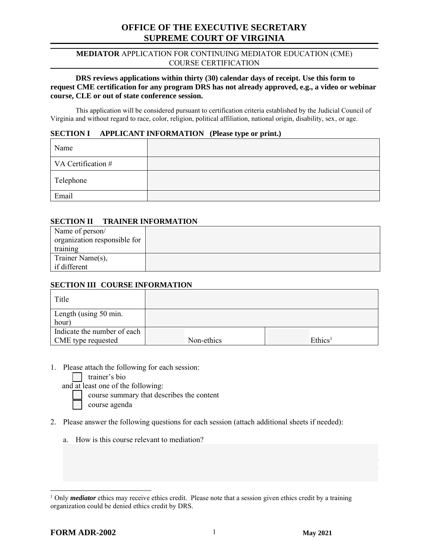# **OFFICE OF THE EXECUTIVE SECRETARY SUPREME COURT OF VIRGINIA**

#### **MEDIATOR** APPLICATION FOR CONTINUING MEDIATOR EDUCATION (CME) COURSE CERTIFICATION

## **DRS reviews applications within thirty (30) calendar days of receipt. Use this form to request CME certification for any program DRS has not already approved, e.g., a video or webinar course, CLE or out of state conference session.**

This application will be considered pursuant to certification criteria established by the Judicial Council of Virginia and without regard to race, color, religion, political affiliation, national origin, disability, sex, or age.

#### **SECTION I APPLICANT INFORMATION (Please type or print.)**

| Name               |  |
|--------------------|--|
| VA Certification # |  |
| Telephone          |  |
| Email              |  |

## **SECTION II TRAINER INFORMATION**

| Name of person/<br>organization responsible for |  |
|-------------------------------------------------|--|
| training                                        |  |
| Trainer Name(s),                                |  |
| if different                                    |  |

# **SECTION III COURSE INFORMATION**

| Title                          |            |                     |
|--------------------------------|------------|---------------------|
| Length (using 50 min.<br>hour) |            |                     |
| Indicate the number of each    | Non-ethics | Ethics <sup>1</sup> |
| <b>CME</b> type requested      |            |                     |

- 1. Please attach the following for each session:
	- trainer's bio

and at least one of the following:

course summary that describes the content

course agenda

- 2. Please answer the following questions for each session (attach additional sheets if needed):
	- a. How is this course relevant to mediation?

<sup>&</sup>lt;sup>1</sup> Only *mediator* ethics may receive ethics credit. Please note that a session given ethics credit by a training organization could be denied ethics credit by DRS.